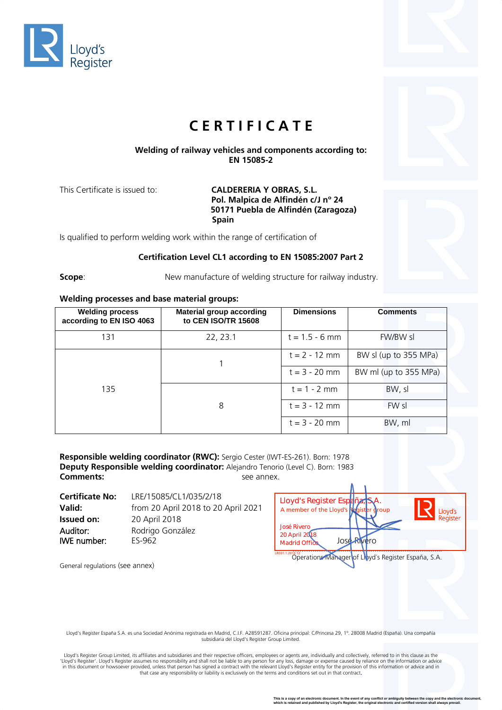



# **C E R T I F I C A T E**

## **Welding of railway vehicles and components according to: EN 15085-2**

This Certificate is issued to: **CALDERERIA Y OBRAS, S.L. Pol. Malpica de Alfindén c/J nº 24 50171 Puebla de Alfindén (Zaragoza) Spain**

Is qualified to perform welding work within the range of certification of

### **Certification Level CL1 according to EN 15085:2007 Part 2**

**Scope:** New manufacture of welding structure for railway industry.

### **Welding processes and base material groups:**

| <b>Welding process</b><br>according to EN ISO 4063 | <b>Material group according</b><br>to CEN ISO/TR 15608 | <b>Dimensions</b> | <b>Comments</b>       |
|----------------------------------------------------|--------------------------------------------------------|-------------------|-----------------------|
| 131                                                | 22, 23.1                                               | $t = 1.5 - 6$ mm  | FW/BW sl              |
| 135                                                |                                                        | $t = 2 - 12$ mm   | BW sl (up to 355 MPa) |
|                                                    |                                                        | $t = 3 - 20$ mm   | BW ml (up to 355 MPa) |
|                                                    |                                                        | $t = 1 - 2$ mm    | BW, sl                |
|                                                    | 8                                                      | $t = 3 - 12$ mm   | FW sl                 |
|                                                    |                                                        | $t = 3 - 20$ mm   | BW, ml                |

**Responsible welding coordinator (RWC):** Sergio Cester (IWT-ES-261). Born: 1978 **Deputy Responsible welding coordinator:** Alejandro Tenorio (Level C). Born: 1983 **Comments:** See annex.

| <b>Certificate No:</b>  | LRE/15085/CL1/035/2/18              | Lloyd's Register España, S                                                 |      |
|-------------------------|-------------------------------------|----------------------------------------------------------------------------|------|
| Valid:                  | from 20 April 2018 to 20 April 2021 | A member of the Lloyd's Register                                           |      |
| Issued on:              | 20 April 2018                       |                                                                            |      |
| Auditor:<br>IWE number: | Rodrigo González<br>ES-962          | <b>José Rivero</b><br>20 April 2018<br><b>JOSE</b><br><b>Madrid Office</b> | /ero |

| Lloyd's Register España, S.A.          |                                                     |
|----------------------------------------|-----------------------------------------------------|
| A member of the Lloyd's Register group | Lloyd's<br>Register                                 |
| <b>José Rivero</b><br>20 April 2018    |                                                     |
| Jose Rivero<br><b>Madrid Office</b>    |                                                     |
| 031.1.2013.12                          | Operations Manager of Libyd's Register España, S.A. |

General regulations (see annex)

Lloyd's Register España S.A. es una Sociedad Anónima registrada en Madrid, C.I.F. A28591287. Oficina principal: C/Princesa 29, 1º. 28008 Madrid (España). Una compañía<br>subsidiaria del Lloyd's Register Group Limited.

Lloyd's Register Group Limited, its affiliates and subsidiaries and their respective officers, employees or agents are, individually and collectively, referred to in this clause as the<br>'Lloyd's Register'. Lloyd's Register in this document or howsoever provided, unless that person has signed a contract with the relevant Lloyd's Register entity for the provision of this information or advice and in<br>that case any responsibility or liability is